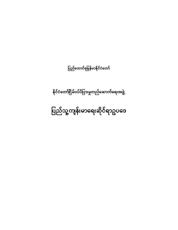# ပြည်သူ့ကျန်းမာရေးဆိုင်ရာဥပဒေ

နိုင်ငံတော်ငြိမ်ဝပ်ပိပြားမှုတည်ဆောက်ရေးအဖွဲ့

ပြည်ထောင်စုမြန်မာနိုင်ငံတော်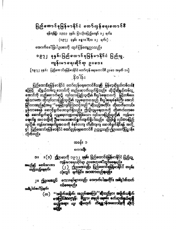## ပြည်ထောင်စုမြန်မာနိုင်ငံ တော်လှန်ရေးကောင်8ီ

**ရန်ကုန်မြို**၊ ၁၃၃၃-ခုနှစ်၊ ပြ၁သို့လပြည့်ကျော် ၁၂-ရက်။

(၁၉၇၂ ခုနှစ်၊ ဇန္နာ၀ါရီလ ၁၂ ရက်။) .

အောက်စေါ်ပြပါဥပဒေကို ထုတ်ပြန်ကျေညာသည်။

## ၁၉၇၂ ခုနှစ်၊ ပြည်ထောင်စုမြန်မာနိုင်ငံ ပြည်သူ, ကျန်ုးမ၁ဓရးဆိုင်ရာ ဥပဒေ။

[၁၉၇၂ ခုနှစ်၊ - ပြည်ထောင်စုမြန်မာနိုင်ငံ တော်လှန် ရေးကောင်စီ ဥပဒေ အမှတ် ၁။]

## ုန္ရွိဒါန်း

ပြည်ထော**င်**စုမြန်မာနိုင်ငံ တော်လှန်ရေးကောင်စီသ**ည် မြန်မာ့ဆို**ရှယ်လ**စ်လ<sup>င်ခ</sup>** ႜ<sup>ႍ</sup>ဆိုရှယ်လစ်လူ့ ဘောင်ကို တည်ဆောက်လျက်ရှိသည်။ ထိုသို့ဆိုရှယ်လစ်လူ့ စဉ်မြင့် ာမလိုက် တည်ဆောက်ရာ၌ လုပ်သားပြည်သူတို့၏ 8းပွါးရေးဘဝကို မြှင့်တ**ေပ**း ရန်သာမက၊ ထိုလုပ်သားပြည်သူတို့၏ လူမှုရေးဘဝ သည် စီးပွါးရေးစံနစ်ကြီး အေ၁င် မြင်လာ**သ**ည်နှင့်အမျှ ''ရေမြင့်လျှင်ကြ၁တင့်သည်''ဆိုသည့်အတိုင်း တိုးတက်ကေ၁င်း ပြန်လာစေရန် ဆောင်ရွက်ပေးလျက်ရှိသည်။ ဤသူလူမှုရေးဘဝကို တိုးတက်လာစေ **ရန် ဆောင်**ရွက်ရာ၌ လူမှုရေးကဏ္ဍတရပ်ဖြစ်သော လုပ်သားပြည်သူတို့**၏** ကျန်းမာ မြောက်စု အဝ ဝတ္ရွိကို ဦးစားပေးဆောင်ရွက်လျက်ရှိပါသည်။ သို့ဖြစ်၍ လုပ်သားပြည် သူတို့၏ ကျန်းမာရေးကိစ္စအဝဝကို စံနစ်တကျ တိတိကျကျ ဆောင်ရွက်နိုင်ရန် အလို့ **၄**ါ် ပြည်ထောင်စုမြ**န်မာနိုင်ငံ တော်လွှန်ရေးကောင်စီ ဥက္ကဋ္ဌသည်၊ဤိုဥပဒေကိုပြဋ္ဌာန်း** လိုက်သည်။

### အခန်း ၁

#### စကားခြီး

။ (၁) ဤဥပဒေကို ၁၉၇၂ ခု**နှစ်၊ ပြ**ည်ထောင်စုံမြန်မာနိုင်ငံ ပြည်သူ့  $\mathbf{S}$ ကျန်းမ၁ရေးဆိုင်ရာ ဥပစေဟုခေါ်တွ**င်စေရ**မည်။ အမည်နှင့် စတင်အာဏာ (၂) ဤဥပဒေသည်၊ ပြည်ထောင်စုမြန်မာနိုင်ငံ တဝန်း တည်သည့်နေ့ရက်။ လုံးတွင် ချက်ခြင်း အာဏာတည်ရမည်။

စက္စားရပ်များသည်၊ အောက်ပါအတိုင်း အမိပ္ပါယ်သက် ၂။ ဤဥပဒေတွင်၊ ဝ**င်စေရ**မည်။

အခ်ဳပ္မႈထိဝေါပြချက်။

''အမှိုက်သရိုက်၊ အညစ်အကြေး''ဆိုသည်မှာ၊ အမှိုက်သရိုက်  $(\omega)$ စားကြွင်းအားကျွန်၊ ပိုလ္လာ၊ မေပုဝ် ရေစမ်း ဧက်ဆု**ထိရှယ်ဆုပြီ** သည့်အရား လျှ အူမဟုတ် တိရုရှူာန်အလောင်းကို ဆိုလို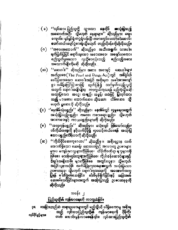ြ ( ခ ) ''လုပ်သား ပြည်သူတို့ သွားလာ နေထိုင် ၊ **ဓာ**သုံးပြသည့် အဆောက်အဦ၊ သို့မဟုတ် နေရာများ'' ဆိုသည်မှာ၊ ရေး၊ ကျောင်း၊ ရုပ်ရှင်ရုံးကဲပွဲရုံ၊ပန်းခြံ၊ကားားကွင်း၊တော်ဒ်ဒါဆောင်၊ တော်တယ်၊ပျော်ပွဲစားရုံ၊သို့မဟုတ် တည်းခိုခန်းကိုဆိုလိုသည်။ ''အစားအသောက်'' ဆိုသည်မှာ အသီးအရွက်၊ သားငါး၊  $(\circ)$ ချက်ပြွတ်ပြွပြင် ရောင်းချသော အစားအစၥ၊ အဖျော်ယမကှာ၊ စည်သွတ်ဖူးစသော လူတို့စားသုံးသည့် မည်သည့်အစား အသောက်မျိုးကိုမဆို ဆိုလိုသည်။

(ဃ) ''ဆေးဝါး'' ဆိုသည်မှာ၊ အစား အစာနှင့် ဆေးဝါးများ အက်ဥပဒေ $($ The Food and Drugs  $A_{\text{ct}}$ ) တွင် အမြွေါယ် ဖေါ်ပြထားသော ဆေးဝါးအပြင် အစိုးရက<sup>်</sup>အခါအားလျော် စွာ အမိန့်ကြော်ငြာစာဖြင့် ထုတ်ပြန်၍ သတ်မှတ်သည့်သူတို့ .<br>အတွက် ရောဂါအမျိုးမျိုးမှ ကာကွယ်ကုသရန် မည်ကဲ့သို့မဆို -အသုံးပြသော အင္ရေ၊ အရည်၊ အမှုန့်၊ အခဲဖြင့် ပြုလုပ်ထား သည့် မိဘဆေး၊ သောက်ဆေး၊ ထိုးဆေး၊ ုလိမ်းဆေး၊ သို့ မဟုတ် ရှုဆေးကို ဆိုလိုသည်။

(င) ''နေအိမ်သုံးပစ္စည်း'' ဆိုသည်မှာ၊ နေအိမ်တွင် လူမှုရေးအတွက် အသုံးပြသည့်ပစ္စည်း၊ ကလေး ကစားစရာပစ္စည်း၊ သို့မဟုတ် အားကစားနှင့် ကာယဖစ္စည်းများကို ဆိုလိုသည်။

''အလှကုန်ပစ္စည်း'' ဆိုသည်မှာ၊ မသုံးလျှင် ဖြစ်သော်လည်း၊  $(\circ)$ ပင်ကိုယ်အလွှက် နဂိုထက်ပိုမို၍ လှပင်္ခင်္**တယ်စေရန် အသုံးပြ** ဧသာ ပစ္စည်းကိရိယာကို ဆိုလိုသည်။

(ဆ) ''ကိုယ်ပိုင်ဆေးကုဂေဟာ'' ဆိုသည်မှာ၊ အစိုးရဌာန လက် အောက်ရှိသော ဆေးရုံ၊ ဆေးဒေးရုံနှင့် အလားတူ ဥပစၥများ မွှအပ မကျန်းမာသူများကိုဖြစ်စေ၊ ီထိခိုက်ဒဏ်ရာ ရသူများကို ဖြစ်စေ၊ မသန်မစွမ်းသူများကိုဖြစ်စေ၊ ကိုယ်ဝန်ဆောင်များနှင့် ဒြီးဇွါးအမျိုးသမီး များကိုဖြစ်စေ အတွင်းလူနာ၊ သို့မဟုတ် အပြင်လူနာအဖြစ် လက်ခံပြစုကုသရေးအတွက် အသုံးပြသော ဥပစၥတခုခု၊ သို့မဟုတ် ရောဂါကုသရေးကို အထောက်အကူ ပြွနြန် ဓ<sup>ုံ</sup>တီခွဲစစ်ဆေးခြင်း၊ ဓါတ်မှန်ရိုက်ခြင်းနှင့် အခြ**ားစ**စ် မေားစမ်းသ**ိ**ခြင်းများအတွက် **အသုံး**ပြသည့် ဥပ**ေတခုခုကို** ဆိုလိုသည်။

#### အခန်း ၂

### ပြည်သူထို့၏ ကျန်းမာနေးကို ကာကွယ်ခြင်း

။အခြားတည်ဆဲ တရားဥပဒေများတွင် မည်သွိပင် ပါရှိစေကာမူ အစိုးရ ρL -<br>သည် လုပ်သားပြည်သူတို့၏ ကျန်းမာရေးကို ၃8ုဝိုး၊ လုပ်ပိုင်နှင့်များ။ တက်ိ<sup>ု</sup> ကေ**ာင်းမွှန်လာစေရန်၎င်း၊ ပူပ်သားပြည်သူတို့**၏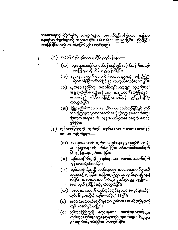ကျ**န်းမာရေး**ကို ထိခိုက်ခြင်းမှ ကာကွယ်ရန်၎င်း အောက်တွင်ဖေါ်ပြသော ကျန်းမ**ာ** ရေးဆိုင်ရာ ကိစ္စရပ်များကို အကြံ့ပေးခြင်း၊ စစ်ဆေးခြင်း၊ ကြီးကြပ်ခြင်း၊ မြှုပြင်ခြင်း၊ တ**းမြစ်ခြ**င်းစသည့် လုပ်ငန်းတို့ကို လုပ်ဆောင်ရမည်။

( ၁ ) ပတ်ဝန်းကျင်ကျန်းမာရေးဆိုင်ရာလုပ်ငန်းများ —

- (က) လူအများနေထိုင်ရာ ပတ်ဝန်းကျင်တွင် အမှိုက်<mark>သရိုက်</mark>၊အညစ်-အကြေးများကို သိမ်းဆည်းစွန့်ပစ်ခြင်း။
- ( ခ) လူအများအတွက် သောက်သုံးသောရေများကို အပြည်ပြည် .<br>ဆိုင်ရာစံချိန်မှီသတ်မှတ်ခြင်းနှင့် ကာကွယ်စောင့်ရှောက်ခြင်း။
- ( ဂ ) လူ**အများနေထို**င်ရာ ပတ်ဝန်းကျင်လေ**ထုတွ**င် ယူတို့ကိုတေ**း** အန္တရာယ်ဖြစ်စေမည့်အခိုးအငွေ၊ အနံ့အသက်၊ အမှုန့်အမွှား၊ အသံပလံနှင့် ဓါတ်ရောင်ခြည်များကြောင့် ညစ်ညမ်းမြင်းမှ ကာကွယ်ခြင်း။
- (ဆ) မြို့ရွာစည်ပင်သာယာရေး၊ အိမ်ယာဆောက်လုပ်ခြင်းနှင့် လုပ် သားပြည်သူတို့သွားလာနေထိုင်အသုံးပြသည့် အဆောက်အဦး သို့မဟုတ် နေရာများ၏ ကျန်းမာသန့်ရှင်းရေးအတွက် ဆောင် ရွက်ခြင်း။
- $(j)$ းလု**δ်**သားပြည်သူတို့ ထုတ်**ရ**ပ် ရောင်းချသော အစားအဆောက်နှင့် ပတ်သက်သ**ည့်**ကိစ္စများ—–
	- (က) အစၥးအမသာက် ထုတ်လုပ်ရောင်းချသည့် အလုပ်ရုံ၊ စက်ရုံ၊ လုပ်ငန်းဌာနများကို မှတ်ပုံတင်ခြင်း၊ မှတ်ပိုတင်ခြင်းမှပယ်ဖျက် ခြင်းနှင့် ပြန်လည်မှတ်ပုံတင်ခြင်း။
	- ( ခ ) လုပ်သားပြည်သူသို့ ရောင်းချသော အစားအသောက်တို့ကို ကျန်းမာသန့်ရှင်းစေခြင်း။
	- (ဂ ) လု**်သားပြည်သူသို့ ရေ**င်းချသော အစားအသောက်များ**ကို** အတုအပပ္ဖြလုပ်ငြင်း၊ အခြားယုတ်ညံ့သောပစ္စည်းများနှင့် ရော့ စ**်ခြင်း၊ အစၥးအဆောက်ထဲတွင် ရှိယင်းစွဲဝတ္ထု** ပစ္စည်းများ ဲ - အ၁း- ထုတ် နုတ်ခြင်းတို့မှ က၁ကွယ်ခြင်း။
	- (ဃ) အစားအသောက် ထုတ်လုင်ရောင်းချသော အလုပ်ရုံ၊စက်ရုံ၊ လုပ်ငန်းဋ္ဌာနတို့ကို ကျန်းမာသန့်ရှင်းစေခြင်း။
	- (င) အစားအသောက်ရောင်းချသော ဥပစာအဆော**က်အဦများ**ကို ကျန်းမာဆန့်ရှင်းစေခြင်း။
	- (စ) လုပ်သားပြည်သူသို့ ရောင်းချသော အစားအသောက်ႏ<sub>မျ</sub>ွား ထုတ်လုပ်ရောင်း**ရ**သည့်နေရာများတွင် ကူးစက်ခ**ုာ**ဂါရှိသူမျ<sub>ား</sub> ဝင် ရောက်အမှုထမ်းခြင်းမှ ကာကွယ်ခြင်း။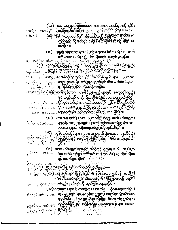(ဆ) ဘေးအန္တရာယ်ဖြစ်စေသော အစၥးအသောက်များကို သိမ်း ကြည့်နူရန် လိုအဝ်လျှင် အစိုးရ ချိတ်ခွန်နီးများ**သူ**်ပို၍ စစ် ဆေးခြင်း။

(**ရ**) …<del>အန္တလ</del>ုံးအစော္စက်များကို အုန္တိုးရက္စ္အအန္ဒါအစာေရျပစ္မွာ သတိ 

ထုတ်လုပ် ံလခြေးရွာများ ပါးလွယ်လ**ောက်သူတို့ အတိုက်များ အတိုက်တိုင်း ပြင်း** ပြောက်ပြီး ပြောက်ပြီး ပြောက်ပြီး ပြောက်ပြီး ပြ

**౹ౘ౷ౘౘౙఄ౻ౢౘ౷ౘౙౘౚౙఄఄ౹౷**ఄౢఴఄఄౣఀఄ౸ఄ౹౿ఄౚౢౙఄఴఀౚౢఴ౺ <u>ောင်းပါးမြောင်း ( ခ) ကြားကြားပြင်သော အခြောင်းသုံး</u>ပွဲစွည်းများနှင့် အလွကုန်ပစ္စည်း မ္နားသည်လုပ်သားပြည်သူ့တို့အတွက်တေးအန္တရာယ်ဖြစ်ပွါး

ၨ႞ႜၖ<u>ႜႋႜ႞ၛၟၜၹႜၣႜ႞ၟႜ႞ၛၛၟ**ႄၜႀ႒ႄၛ</u>ႜႃႋၴၯႜႜႜႜ႞ၹၟၯၟႄႜႜ႞ၹႃၟႜႜႜႜ႞ႜၟၟၟၟၟၟၟၟၟၟၟၟ**</u>

(၀ ) - ဘေးအန္တရာယ်ရှိသော - ထုတ်လို့ဝ်<sup>ဇြ</sup>ီးသည့် နေအိမ်သုံးပစ္စည်<sup>း</sup> ြဲမူကြာလာ ခန္ဓား ငဖ**္ဘာ ေရျခန္မလ္ကို အလုပ္ခ်ဳပ္နန္ ပစ္စည္မ်ိဳးမျခန္းစို**့လ**ုပ်ိဳသာအဖြည့်သူမျဲားအား** ာေးအ န္တရာယ် မရှိနေသွောနည်းဖြင့် ဖျက်ဆီးခြင်း။

(ဆ်) ကုန်ရောင်းဆိုင်များမှ ဘေးအန္တရာယ်ရှိစေသော နေအိမ်သုံး *ଌୖ୶ଌ*ୖଢ଼ଽଌୖଌୖ୴ୖ୲ଌ୶**ୄୄୄୄୖଵଽ୕**୳

(င) နေအိခ်သုံးပစ္စည်းများနှင့် အလှကုန်ပစ္စည်းများကို အစိုးရက ြင*့် ကမားသောင်း*ော်အခါအားတြော်ရွာဒုတိတ်ပို့တို့တို့တော်တော**် စံချိန်နှင့် ကိုက်ညီစေ** ရန် ဆောင်ရွက်ခြိြ်း ႏို္င္ငံ∕ ေျဖဴ

<sup>္ဂိ</sup>ုးျွဲ္သူ ႏြ**(က္) ကူး**စက်ဆုေပါ**ပြန္စပ္ခါးခြင်း ၇ နွှိနိန္ပင်းက၁က္မယ်ရန် အလို့ငွ**ါ းအခါအားပျော်စွဲဒါမိသေအလိုက် တိုင်ကြားရမ**် ရောဂါ** 

(*းခ*)ဲ့တူးစက်ရောဂါ ကာက္ရွယ်ရေးအလို့ငှါ၊ စုံစ**်းရော**လာခြင်း<sup>၊</sup> ြာငန္မရွိအတုံးလားေတြ **လုပ္ခ်ိဳသူ ၁၃ ရွိသူ တရုပ္ခ်ိဳင္ခန္းတခုက္အယ္လ္ဒီအေပၚမယ္ ညွိအစီအစဥ္** ချမှတ်ခြင်း၊ ေတ္ာက္ကယ့်ဆေးထိုးခြင်း၊ ၃းမွှားတိရစ္ဆာန်များ နဂျေနရာမွေးမွေးမွာ အစာကားကြသည် အနည်းခြံတွင်လိုက်<br>ဒီငအချေးရေ ၁၀မှာင်တွင် အမျှောင်မြင်း သို့နူးဒိုခြံသည်ဟု အစၥအဆင်တွင်း

ႜ<mark>ႜႜႜၟၣႜၛ</mark>ၟၟၟၟၟၟၟၟၟၟၟၟၟၟၟၟၟၟၟၟၟၟၟ .<br>ရပ်သည့်အင်းစာမရှိများနဲ့ ၂၀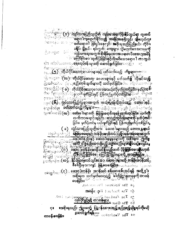<sup>ံးစားအ</sup>ံောင့္ ေစက်ရောဂါ ဇြစ္ပါးေနဂြုင**်အ**စိုးရသည်ပြည်နယ်၊ တိုင်း၊ ခ**ရို**င်၊ မြွှနယ်၊ ရပ်ကွက်ြကျေးရွာ၊ သို့မဟုတ်ဒေသတခုခု**ကို** දී. ලෙසුන - බෝ දා ကျန်းမှာရေးအတွက် **ဂိုးရှိရ**ြေသာအခရးပေါ် ဒေသဟုအမိန့် <sup>း ကြေ</sup>ာ်ငြာစ့ာ ထုတ်ပြန်ခြင်းနှင့်လိုအပ်သောရောဂါ ကာကွယ်

န**်ာ**းဆိုင<sup>်</sup>လလေး**့ရောကြွပ်စန်းများကို ဆောင်ရွက်ခြင်း၊**ောင်္ဂျီး၊ ဲ့ေႏွးေႏ**ိုက္) ကိုလိုငိမ္ခံစားကု**းဂတၱာများနှင့္ ပတ်သ**က်ရွ်** လိုအပ်ိ**သည့်** ႜၟႝၣႜ႞႞႞ၣႜၜႜ႞ၜႝႜႜႜႜၛ**ႜၟၟၣၣႜၟၣႜၟၣၟၣၟၣၟၣၟၣႜႜႜႜႜၟႜႜႜႜႜႜႜႜႜၟႜ**ၣ႞ၣႜၣၣၣၣၣႜႜႜ ನಾಣು ಮತ್ತು လက်ကားရောင်းချခြ<u>င်း အသည့်ထုပ်နေ</u>်းများကို<sup>့</sup>မှတ်ပုံ**တင်**း ခြင်း၊ မှတ်ပုံတင်မှ ပယ်ဖူက်ခြ**င်းနှင့်** ပြန်လ**ည်မှ**တ်ပုံတင်ခြင်း

( ခ) လှုံ့ပ်သားပြည်သူတို့အခိ<sup>ုင်း</sup>ခ်ဆး၀ါးများသည် ဘေးအန္တ**ရာ**ယ် းငဖုဒ် ဖွားနိုင်ငံတို့ အမြစ်စေရေးနှင့် တန်**ဒိုးအာနိသင် ပြည့်ပမှန်ကုန်ရေးအ**တွက် ူးလိဂ္ဂ်ာေျပေါ့ **နိုင်ခြားမှတင်သွင်းဆော ဆေးခါများတို့ တန်ခိုးအာနိသင့်** စီစစ်ပြီးမှသ**ာလျှင် မြန်မဝဖေခြင်း၊** အသင်္ဘာတကာ

အပဌက ေလြး ေဆးငါးတန္ခ်ိန္နဲ႔ အ**ွန္ သင့္ စွန္ခ်**ဆူးစွ**န္ သူ့ပရန္ အလို ၄ ၊** း ဥပဒေသမွန္း ေျပာင္း ျဖစ္သည္ ျဖစ္သည့္ အေျပာင္း<br>အစိုးရက သတိမ္မိတိေပးသည့္ ဓါတ္ပိခဲ့ဌာနတခုခုကို တာဝနိ<br>**ေႏြငိ**း၊ ဒီေဒသမွ် ေဘာအထ<sup>ြ</sup>င္းႏိုင္ငံ

24 The Epidemon Historics Act.

 $\phi$  and not than  $D\phi$  ,  $\phi$ 

၅။ The <sup>Food and Draw Capendhood) Act 1949.<br>ဒီ။ The Ghas Aseppocto ခ်ိန္မွ်ေဒၚပါတ္</sup> **Gi** The Glice

။အစိုးရသည်၊ ဤဥပဒေ့၌ ပြဋ္ဌ<u>ာန်းထားသည့် ဖည်သည့်</u>တို့စွရပ်ကိုမဆို

ာ။ The Vaccionion  $\overline{\Lambda_{\rm C}}$ ရဲစက္ခ်က္အသိတ်ေ တာဝန် ပေးခြွန်း၊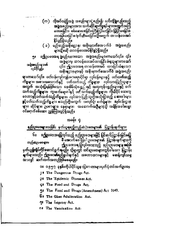(က) လိုအပ်သည့်အဖွဲ့ အစည်းများ္ခဲ့စည်း၍၊ ယင်းသို့ရွဲစည်းသည့် အဖွဲ့အစည်းများအား သက်ဆိုင်ရာကိစ္စရပ်များအတွက်အကြံ <u>။</u>၁ိမြစခ**်ပြပြု း**၁၉၁၁ဝိညြးကြသြပေးအခေဖိစ<sup>်</sup>းခြံခြစ**်**ပေခ တားမြစ်စေခြင်း၊ ဖျက်ဆီးစေခြင်းတို့အတွက် တာဝန်ပေးအဝါ နိုင်ခွင့်ရှိသည်။

**( ခ) မည်သည့်အစိုးရဌာန၊ အစိုးရလက်အောက်ခံ** အဖွဲအစည်း များသို့မိဆို တာဝန်ပေးအဲ**၀ိန်င်ခွင့်ရှိသ**ည်။

။ဤဥပဒေအရ ဖွဲ့စည်းထားသော အဖွဲ့အစည်းများကသော်၎င်း၊ ၎င်း ŋ. အဖွဲ့များမှ တာဝန်ပေးအပ်ထားခြင်း ခံရသူများကသော် အဖွဲ့အစည်းများ၏ ၎င်း၊ ဤဥပဒေအရ တ၁ဝ န်ပေးအဝီ ထားခြင်းခံရသော -<br>လု**δ်**၃၉ နဲ့ အစိုးရဌာနများနှင့် အစိုးရလက်အောက်ခံ အဖွဲ့အစည်း

**များကသေ**ာ်၎င်း၊ ပတ်ဝန်းကျင်ကျန်းမာရေးဆိုင်ရာ လုပ်ငန်းများနှင့် ပတ်သ**က်သည့်** ကိစ္စများ၊ အစားအသောက်နှင့် ပြတ်သက်သည့် ကိစ္စများ၊ ပြလိသားပြည်သူများ အတွက် အသုံးပြရန်ဖြစ်သော နေအိမ်သုံးဖွေညီးနှင့် အလှကုန်ဖွဲ့ညွှားများနှင့် ပတ် သက်သည့်ကိ**ုမှု**ဘိုး၊ ကြွးစက်ရောဂါနှင့် ပတ်သက်သည့်ကိစ္စများ။ ကိုယ်ပိုင် ဆေးကု ဂေဟာနှင့်ိဳပတ်သက်သည့်ကိစ္စများ၊ လုပ်သားပြည်သူတို့အသုံးပြသည့် ဆေးဝါးများ န္ခင္ခ်ပတိသက်သည့်ကိစ္စချိဳး စသည်တို့အတွက် အလုပ်ရုံ၊ စက်ရုံများ၊ " လုပ်ငန်းဌာန များ၊ ဆိုင်များ၊ ဥပစၥများ၊ နေရာများ၊ ဒီအဆောက်အဦများသို့ အချိန်အခါမရွေး ဝင်ရောက်စစ်ဆေး ညွှန်ကြားနွင့်ရှိသည်။

အခန်း ၄

နည္လ်ိဳးဥပဒေများအဖြစ်၊ မှတ်ယူရမည့်တည်ဆဲဥပဒေများ၏ ပြဋ္ဌာန်းချက်များ

ճա ။ဤဥပဒေအရပ္ဖြလုပ်သည့် နည်းဥပဒေများဖြင့် ပြင်ဆင်ပြဋ္ဌာန်းခြင်းမပြု **ဒိ အောက်ပေါ်ပြပါ ဥပဒေများ၏ ပြဋ္ဌာန်းချက်များကို** တည်ဆဲဥပ**ေျား၊** ဤဥပဒေအရ ပြလုပ်ထားသည့် နည်းဥပဒေ**များ အ**ဖြစ် မှတ်ယူ**ရွှဲလုံ့**ပ်ကိုင်ဆောင်ရွက်**ရ**မည်။ သို့ရာတွင် ယင်းဥပဒေများတွင်ပါသော ပြဋ္ဌာန်း ချက်များသည်။ ဤဥပဒေ၏ရည်ရွယ်ချက်နှင့် သဘောထားများနှင့် မဆန့်ကျင်သမျှ သာလျှင် ဆက်လက်အတည်ဖြစ်စေရမည်။

၁။ ၁၉၅၇ ခုနှစ်၊ကိုယ်ပိုင်သူနာပြုဂေဟာများမှတ်ပုံတင်အက်ဥပဒေ

J I The Dangerous Drugs Act.

**PI** The Epidemic Diseases Act.

G! The Food and Drugs Act.

In The Food and Drugs (Amendment) Act 1949.

Gı The Ghee Adulteration Act.

71 The Leprosy Act.

l.

of The Vaccination Act.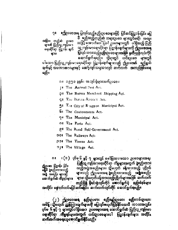။ဤဥပဒေအရ ပြွလုပ်သည့်နည်းဥပဒေများဖြင့် ပြင်ဆင်ပြဋ္ဌာန်းခြင်း မပြွ  $21 -$ ဒီ မည်သည့်တည်ဆဲ တရားဥပဒေ များတွင်မဆို၊ အထူး အခြား တည်ဆဲ ဥပဒေ သ<sup>ဖြ</sup>ို့ အောက်ပေါ်ပြပါ ဥပဒေများတွင် ပါရှိသည့် ပြည် များ၏ ပြည်သူ ကျန်းမ ၁ ာာ့္စီကျနီးမာရေးဆိုင်ရာ ပြဋ္ဌာန်းချက်များကို ဤဥပ**စေအရ** ရေးဆိုင်ရာ ပြဋ္ဌာန်း ချက် ပြလုပ် ထားသည့်နည်းဥပဒေများအဖြစ် မှတ်ယူရိုလုပ်ကိုင် ଜ୍ୱାଠା ဓောာင်ရွက်ရမည်။ သို့ရာတွင် ယင်းဥပဒေ များတွ**င်** ပါသော ပြည်သူ့ကျန်းမာရေးဆိုင်ရာ ပြဋ္ဌာန်းချက်များသည် ဤဥပ**ော**၏ ရည်ရွယ် ချက်နှင့် သဘောထားများနှင့် မဆန့်ကျင်သမျှသာလျင် ဆက်လက် အတည်ဖြစ်စေရ မည်။

ာ။ ့ ၁၉၅၁ ခုနှစ်၊ အသုပ်ရုံများအက်ဥပဒေ။

14 The Animal Pest Act.

Off The Burma Merchant Shipping Act.

GI The Burma Aircraft Act.

31 The City of Rangoon Municipal Act.

**6** The Cantonments Act.

7<sup>#</sup> The Municipal Act.

Of The Ports Act.

GI The Rural Self-Government Act.

OO# The Railways Act.

**201 The Towns Act.** 

on The Village Act.

ပြ**ည်**သူ့ ကျန်းမ်ာရေးဆိုင်ရာ ကိစ္စများအတွက် ဖွဲ့စည်းထား ၍ဥပဧာ ပြဋ္ဌာန်း ခြင်း သည့်အိပ္ပံအစည်းများ၊ သို့မဟုတ် ခန့်ကားသည့် ပုဂ္ဂိုလ် မြေဒီ ဇူစည်းထားသည့် များသည် ဤဥပဒေအရ ဖွဲ့စည်းထားသည့် အရှူံအစည်း အဖွဲ့ အစည်း များနှင့် ်များ၊ သို့မဟိုတ်ခန့်ထားသည့်ပုဂ္ဂိုလ်များအဖြစ် ဆက်လက် ဆောင်ရွက်ဆဲ ကိုရွရပ်များ။ တည်ရှိ၍ ရှိရင်းစွဲလုပ်ကိုင် မော်ာင်ရွက်ပုံ နည်းစံနစ်များ

အတိုင်း နောက်ထပ်မပြင်ဆင်မခြင်း ဆက်လက်လုပ်ကိုင် ဆောင်ရွက်ရမည်။

းစေတာကောင်လည်းဌိုမှန်ပိတ္တ ၊ဇခပဌးဌိနေ ၂ နေ့စေသေးဌဉ် (၂ )<br>အမိန့်၊ သို့မဟုတ် ညွှန်ကြသချောက်မှ ကျေးများကြေးကြေနဲ့ရွှင် ကျေးများ အိမ်စား ဝုဒ်မ ၆ နှင့် ၇ များတွင်ပါရှိသော ဥပဒေများအရ ဆောင်ရွက်ဆံ ပြည်သူ့ကျန်းမှာ ရေးဆိုင်ရာ ကိစ္စရာများအတွက် ယင်းဥပဒေများပါ ပြဋ္ဌာန်းချက်များ အတိုင်း ဆက်ထက်အရေးယူဆောင်ရွက်နိုင်သည်။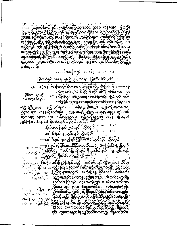ထိပ် ထင် တွေ့ဝေးငွေးလ**ှုပ်ရှိန်းများနှင့် ပတ်သက်သည့် တစ္စညှောင်ရှင်း၊ ထုတ်သည်** ႏ*ုိင္ငံ*ႏွံ ၇ ႏွံ ပြည္လြယ္ရများအတြက္ ေအ**ာႏႈပ္စြရန္ ပြဲစံေသာ ေနေအ**ခ်သုံး းပြဲမွဴးေျွာင့္ ပ**စ္စည္သိန္းျခန္ေအလွကုန္ ပစ္စ<u>ည္မ်ိဳးမျ</u>ားနွင့္ ပတ္စြဲသက္ခ်သည္မွ်ကိ<b>စ္စ**ု ညော်ငြင်း ဖြစ်လျှင်၊ ပဋ္ဌမအကြွန်တွင် ၁ နှစ်ထိထေ**ာင်ဒဏ်** ဏ္ဌေပေမယ်မယ် ေ မိန္းသမားမွ ဝဝ၉ ဝိုင္မွာ ၊ စခုစီမြဲ<br>ဖိ**မ္ပြဲႏွံာပြဲစဖို့ရွိတာ ၊ စခုစံမြက္ခ်င္မွာသူ စဝ**၉ ဝိုင္မွာ ၊ စခုစီမြဲ ) စ**ည်**တင်းများ (၂ ရသော အစားအသောက်နှင့် ဝတ်ညက်သည့် ကိစ္စသော် **၎င်း၊ ကူးစက်ရောဂ<sup>ါ</sup>များနှင့်ပ**တ်သက်သည့် ကြွသော်၎င်း၊

ႏႈေႏွးေ<sub>တ</sub>ြ **သိုလျက်နှင့်ဖြစ်စေ၊ သိနိုင်လောက်သော အကြောင်းများရွိလျက်**<br>ႏွမ္းလူးေတြ **နှင့်ဖြစ်စေ၊ ကိုယင်းပြဋ္ဌာန်းချက်ကို ့ပေါက်ဖျက် ကျူးလွန်စေရန်**<br>ႏွမ္း မြထက္ခတ္မတယ်။ကိုယာအထေးကိုညီလျင<u>့ တက်</u>သိ

ႏွံ<sub>့ ့</sub>္စ္လွ်ာေ (က)း ယင္နီးမြင့္အန္ဂ်ဴး ရက္သည္သြာ ျပတ္လွ်င္ခန္း သူငကျန္းမွာေရး ဆိုင်ရာ

——ပေါက်ဖျက်ကျူးလွန်ရန် ကြိုးပိမ်း<del>အ</del>ခိုးထုတ်လျှင်၊ သို့မဟိုတ်

—လိုက်နှာရန်ပျက်ကွက်လျှင်၊ သို့မဘုဘိ<sup>ုး အျမ</sup>ုပ္ပါ —စေါက်ဖွဲက်ကျးလွန်လျှင်၊ သို့မဲတိုက်<sup>က အသ</sup>ားပ

**စည်း**မှုဦးဥပဒေ၊ စည်းကွ<sup>င်္ခ</sup>ဥပဒေ၊ အိမ္ဘိန္နီ၊ ူ့<u>သိုမိုးဍက် ညွှန်ကြ</u>ားချက်များပါ မိမိရမိုးဦးမိေက်တာေတြကို အသံုးပြဲ အေျပာကို အမွားကို အမွားကို အမွားကို အမွားကို အမွားကို အမွားကို အမွားကို အမွာ<br>ပြဋ္ဌာန်းချက် တခုခုကိုသော်၎င်း၊ ဤဥပဒဒဒ္ဒင့် ဤဥပ္ပန္မေအရပြ သည်။ သို့မဟုတ်<br>ထုတ်သည့် နည်းဥပဒေ။ စည်းမျဉ်းဥပဒေ၊ စည်

၉။ ပြစ်ဒဏ် များနှင့် အရေးယူနည်းများ။ သည်ပြည်သူ့ကျန်းမာရေးနှင့်၊သက်ဆိုင်သော်နည်းဥပဒေ

ပြစ်ဒဏ်နှင့် အရေးယူနည်းမျ**ားဆိုင်ရာ<sup>၊ ဂ</sup>ြဋ္ဌ ၁န်းချက်ချ**ား ပ

မျဉ်းဥပဒေ၊ စည်းကန်းဦပဒေ၊ အမိန့်၊ သို့မဟုတ် ညွှန်ကြ်းချက်ဖြစ်သည်ဟူ၍လူညှို့ မှ တ်ယူရမည်။ းခေလ့င်**အခန်း** ၅ပိုင္းေဖြစ္ေရး ၅ ေ။ င

ႏွ<sub>ား</sub> (၉) ပိ**ု့နေ့ ၆ နှင့်** ၇ႏွစ္တင်စေါ်ပြထားတော့ ဥဖဒေ တခုခုအရ ပြသည္။ <u>သို့မှတုတ်ထုတ်သို့သို့ ပြည်သူ့ ကျန်းမာခံရေးနှင့် သက်ဆို</u>င်သေ**ာနည်းဥပဒေါ် စည်းမျဉ်း** ဆိုခဲ့ပြသည့်ကြွန်က<u>ိုင်းမြောင်းကြောင်း</u>မြောင်းပြည်နေ့ကြသည်။<br>ငွေးချောင်းမြောင်းမြောင်း ပြည်နေ့ကြသည်။ မြောင်းမြောင်းမြောင်းမြောင်းမြောင်းမြောင်းမြောင်းမြောင်းမြောင်းမြောင်း<br>ထိုင်းမြောင်းမြောင်းမြောင်းမြောင်းမြောင်းမြောင်းမြ <u>အံ့မွန်- ညှိမီတက် ဂွန်ကြောင်း</u>ကြောင့်ခြင့် နှစ်သို့ခ်းပည်မျက်ခြင်းမပြသေးမီ က၁လ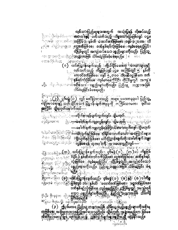<mark>လုပ်သားပြည်ဆူများအတွက် အသုံးပြွရန် လိုအ</mark>ပ်သည့် ုးဖြစ<sup>္ေတြ</sup>င္းမွာေျ**ငွေခက်ဖြစ်စေ**၊ **ဒဏ္က်န္မစိရပ်လုံးဖြစ်စေ**း**ကျခံစစ်ရမည့်ပြင်**း .<br>ထိုပြစ်မှုတွင် အကျုံးဝင်သေ**ာ ပစ္စည်းများကိုလည်း** ပြည်သူ့

ာေဌး ျပည့္သားနိုင္သ**ြွအုတ္အာအဖြစ္ သိမ်ိဳးထူခြင်းခဲ့စစ္အရမည္မ်**ျပန္ပြ သော်တိုင်ရသာဝ ႜၜႜႜႜၜၜၜၜၜၜ႞ၟၟၟၟၟၣ႞႞ၟၟၟၟၜ<br>**(ၐ)**ႜႜႜၜၖႜႜႜႜႜၛႄႝႜၟၣႜႜႜႜႜၟႜႜ႞ႜႜႜႜႜၛၮၣၣႍၣႍၟၟၟၮၟၯၛႜႜၟၟႜၜႜႜႜႜၛႜႜၟႜၟႜ ់ **្នុន**រត្ន១០នេះ៩ព្រះ

<u>ပတ်သက်သည် ကိစ္စဖြစ်သူင်မြ</u>င့်မ အကြံ**မိ**တ္ထိ ၅<sup>း</sup>နှစ်ထိ <sup>ဲ</sup>ႏွန္ခရွဴရွိန္းဖြစ္ခ်ဳိေကျခံေရမွဴးပိုင္ပြင္ေထုပ္ပြဲရမွဴက္ရွင္ေအကျုံ့။ ခ**ါ့**ောင္းေႏာင္း ေစာင့္ေတြ အေျပားကိုလည္း စြည္လ်ည့္ ဘက္လာဘာ ဖြစ် သိမ်းယူခြင်းခံစေရမည်။

ြးေႏြေႏြး<br>(၂၂) ပုဒမန္အ (၃၂) တွင် ဖေါ်ပြထားသည့် တရားဥပဒေတခုခုပါ ပြည်သူ<br>ကျန်းမာရေးနှင့် သူတို့ဆိုင်သော ပြဋ္ဌာန်းချက်တခုခုကို တကြသောမက၊ <mark>ဒုတိ</mark>ယ **အကြွန်၊ သူမ**္ဘာတင်နာကထပ်-

*ၟႝၙ<del>ၟၣၣႜႜႜၜႜၜႜႜႜႜၜ႞႞ၣၛၟၣၣၛၟႜႜႜႜၛၟၟၟၟၟၟၟၟၟၟၟၟၟၟၟၟၟၟၟ*ၣၛၟၣၛၟၣၛၟၣၣၣၣၣၣၣ</del> ၣၜၟႜႝၯၟၜႜႜႋၣႜၟ —–ဖေါက်ဖြက်ကျူးလွန်ရန်ကြွီးပဲမ်းအခါးထုတ်လျှင်ပြီပွဲမဟုတ်

ႜႋႍ<u>ႜၣၣၣၹၜၛၟ႞႞ၣၣ႞ၣၣႜႜႜၜႜၛၟၛၯႜႜၟႜၟႜၛၟၜၟၜႜၜၟၟႜၯၟႜႜႜၛၟႄႜၛၛၟၟၟၟၛၣႜႜႜႜႜ</u> 

**ပြီး**လူပါတယ္။ ကို ေတြအနိမ္းႏွင့္ ျပည္တြင္ ေပၚႏွစ္ရာရွိတြင္ အခ်ိဳးရွိတင္လ်ားခြင့္ <sup>စ္ပြင္</sup>းႏွင့္ (**၁)္းပိုင္းပြင္စာနီးျက်သည်။ ႏ**၆ခန္မွ (၁) ့ (၁)နှင့္ (၈) ပါ**ကိစ္မ** 

၉) ဦးမိအေရးပြည့်ပွဲ အမြန်းများခဲ့ပြည့် အမြန်းများ အသိမ်းများကို အားမရေး)<br>အခြစ်ခုများ အမြန်းများခဲ့သည် အမြန်းများ အမြန်းများ အများမှ အမြန်းများ ုးအျပာလ မန္မာေပၚညူဆင္ေတြေနတဲ့ ေလးရာျခင္မွာ ျမန္မာေတြ<br>အခါအဦးလုပ္ခဲ့တဲ့ ထုတ္ပပ္သြန္းမည့္သေနတဲ့ဘရက္မယ့္အမွတ္အဆို ထုခ္ရွိနိုင္ငံသည္။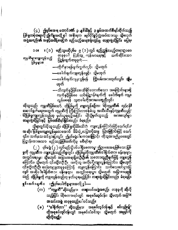(၄) ရွှဲဖြစ်မအရ ထောင်<del>ဒဏ</del>် ၃ နွှစ်ထိနှင့် ၃ နှစ်အထက်စီရင်ထိုက်သည့် ပြစ်**မှုတစုံတရာ့ကို ၍ကိစ္စအလို့ ၄<sup>7</sup> အစိုးရက<sup>ီ</sup> လု<sup>င်ပို</sup>င်ရွှင့်လွှဲအပ်ထားသူ၊ သို့မဟုတ်** အဖြဲ့အစည်း၏ အခွင့်အမိန့်မရန်က မည်သည့်တရားရုံးတွင်မျှ တရားစွဲဆိုခြင်း မပြရ၊

။ (၁) <mark>မည်သူမဆိုပု</mark>စ်မ ၉ (၁) တွင် ရည်ညွှန်းသည့်တရားဥပဒေ **OOI** တခုခုပါ ပြည်သူဲ့ ကျန်းမာရေးနှင့် သက်ဆိုင်သော က္မဏီများကျူးလွန်သည့် ပြဋ္ဌန်းချက်တခုခုက်—– ပြစ်မှုများ။

—-လိုက်နာရန်ပျက်ကွက်လှုင်၊ သို့မဟုတ်

—ဖေါက်ဖျက်ကျူးလွန်လျှင့်၊ သို့မဟုတ်

—–ေဝါက်ဖျက်ကျူးလွန်ရန် ကြိုးပမ်းအ**ားထုတ်လျှင်၊ ဆို့မ** ဟုတ်

—–သိလျက်နှင့်ဖြစ်စေ၊သိနိုင်လောက်သော အကြောင်းများရှိ လျက်နှင့်ဖြစ်စေ ယင်းပြဋ္ဌာန်းချက်ကို ဖေါက်ဖျက် ကျူး လွန်စေရန် သူတပါးကိုအားပေးကူညီလျှင်၊

ထိုသူသည်၊ ကုမ္ပဏီဖြစ်သေ§့ထိုပြွစ်မှုကို ကျူးလွန်စဉ်က၊ ထိုကုမ္ပဏီ၏ လုပ်ငန်္**<sup>၊</sup>** ဆောင်ရွက်ရေးအတွက် ကုမ္ပဏီကို ကြိးကြဲဝိတာဝန်ခံသူ အသီးသီးနှင့်ကုမ္ပဏီသည်၊ တြိပြစ်မွကျူးလွန်သည်ဟု မှတ်ယူရမည့်အပြင်၊ ထိုသို့မှတ်ယူသည့် အားလျော်စွာ တရားစွဲဆိုခြင်းနှင့် ပြစ်ဒဏ်စီရင်ခြင်းလည်း ခံရမည်။

သို့ရာတွင်ထိုသူသည်၊ ထိုပြင်မှုကိုမိမိမသိဘဲ ကျူးလွန်ကြောင်းဖြင့်သေ5်၎င်း၊ အဆိုပါပြီန်မှုမကျူးလွန်ရလေအောင် မိမိလုံ့လပြသင့်သမျှ ပြခဲ့ကြောင်းဖြင့် သေ ${\mathsf S}$ ၎င်း၊ သက်သေ ထင်ရှားပြလှုင်၊ ့ ဤပုဒ်မခွဲပါကော်းကြောင့်၊ ထိုသူအားဤဥပဒေတွင် ပြဋ္ဌာန်းထားသော မည်သည့်ပြစ်ဒဏ်ကိုမှု မစီရင်ရ။

(၂ ) ပုဒ်မခွဲ (၂ ) တွင်မည်သို့ပင်ပါရှိစေက၁မူ၊ ဤဥပဒေအရဖြစ်သောပြစ် မှုကို ကုမ္ပဏီက ကျူးလွန်သည့်ကိစ္စတွင်၊ ထိုပြစ်မှုကိုကုမ္ပဏီ၏ဒါရိုက်တ**ာ၊ မန်နေ**ရာ၊ အတွင်းရေးမှူး၊ သို့မဟုတ် အမြားအရာရှိတဦးဦး၏ သဘောတူညီချက်ဖြင့် ကျုံးလွန် ကြောင်း၊ သို့မဟုတ် ၎င်းတို့တဦးဦး -အလိုတူ အလိုပါ္စီကျူးလွန်ကြောင်း၊ သို့မဟုတ် ၎င်းတို့တဦးဦး ပေါ့လျော့မှုတခုခုကြော**င့** ကျုံးလွန်ကြောင်း သက်သေထင်ရှားပြ လျှင် အဆိုပါ ဒါရိုက်တာ၊ မန်နေရာ၊ အတွင်းရေးမှူး၊ သို့မဟုတ် အခြားအရာရှိ သည် ထိုပြစ်မှုကို ကျူးလွန်သည်ဟု မှတ်ယူရမည့်ပြင်၊ တရားစွဲဆိုခြင်းလည်း ခံရမည်။

**ရှင်းလ**င်းချက် ။ းဤပုဒ်မပါကိစ္စများအလို့ ၄ါ—

- (က) ''ကုမ္မဏီ''ဆိုသည်မှာ၊ တရားဝင်အဖွဲ့အစည်း တခုခုကို ဆိုလို သည့်ပြင်၊ ထိုစကားရပ်တွင် အစုစ**်လှု**ပ်ငန်း၊ သို့မဟုတ် အခြ<sup>ာန</sup> **အသင်းအရှုံ့ တခုခုလည်းပါဝင်သည်။**
- (ခ) ''ဒါရိုက်တာ'' ဆိုသည်မှာ၊ အစုစပ်လုပ်ငန်းနှင့် စပ်လျဉ်း၍' ထိုအစုံစပ်လုပ်ငန်းတွင် အစုစပ်ပါဝင်သူ၊ သို့မဟုတ် အစုရှင်ကို ဆိုလိုသည်။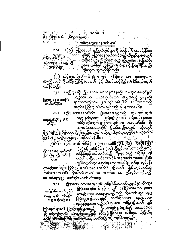## <sup>ဧပိတ်တို့ကို တိုင်း အတွက် အ**မိတ်အတွေ့ပြဋ္ဌ ၁န်းချက်များ** ၂</sup>

အခန်း ၆

오루 시작 매탄

YOUR REAL FOR THE

။ (၁ ) ဤဥပဒေပါ ရည်ရွယ်ချက်များကို ထမြောက် အောင်မြင်စေ ာ၁။ න්ග ප්**ලොස**ෙන ု**ရန်နှင့်** ဤဥပဒေနှင့်ပတ်သက်သည့် ကိစ္စရ**်များ**အတွက် <u>နည်းဥပဒေနှင့် စည်းက5း</u> <sup>း</sup>းအစိုးရသည်နည်းဉပုံအေ၊ စည်းမျဉ်းဥပဒေ၊ စည်းက**်း** း**ဥပဒေမျာ**။ စသည် တို့ ု ျာဖွဲ့စေ၊အ<sup>6</sup>န္နီနှင့် ညွှန်ကြားချက်များကို **ဂြလု**Sနိုင်သည်။ ပြလုပ်**ပို**င်ခွင့်။ <sup>းခ</sup>်**ဘို့မ**ဟုတ် ထုတ်ပြန်နိုင်သည်။ УĆ

(၂ ) အစိုးရသည်၊ ပုဒ်မ ၆ နှင့် ၇ တွ**် ဖေါ်ပြထားသော ၂** ဥပဒေများ၏ အမည်စဉ်ရင်းကို အခန့်ကြော်ငြာစာ သုတ် ]န်၍ လိုအဉ်သလိုဖြည့်စွက် နိုင်သည်၊ထုတ် ဖယ်**နို**င်သည်။

။မည်သူမဆို၊ ဤ<sub>ဦ</sub>းဒေအရဒဆ၁င်ရွက်နေစဉ်၊ သို့မဟုတ် ဓဆာင်ရွက်  $3 |$ .<br>သည့်သဘော သက်ရောက်သော အပြဇာခူကို ပြုနေစဉ်၊ ပြည်သူ့ဝန်ထမ်းအဖြစ် ရာဇသတ်ကြီးပုဒ်မ ၂ ၁ တွင် အမွေ့ါယ် ဖေါ်ပြထားသ**ည့်** သတ်မှတ်ခြင်း။ အတိုင်း ပြည်သူ့ ဝန်ထမ်းဖြစ်သည်ဟု မှတ်သူရမည်။

။ဤဥပဒေအရသော်၎င်း၊ ျှိုဥပဒေအရ<mark>ပြသည့်၊ သို့မ</mark>ဟုတ်ထုတ် ၁ ၃။ သည့် နည်းဥပဒေ၊ ၂၀ည်းမျဉ်းဥပဒေါ် စည်းကန်း ဥပဒေ၊ တရားစွဲဆိုခြင်းမှ ဒိတ် အမိန့်၊ သို့မဟုဘ် ညွှန်ကြားချက်များ အရသော်၎င်း၊ ရိုး ဝင်ခြင်း။ သားသောသဘောပြင့် ပြလုပ်သည့်အတွက်၊ သို့မဟုတ်

ပြလုပ်ရ**န်ကြံရွ** ပ်ံ၍ ဆောင်ရွက်သည့်အတွက် မည်သူ့ကိုမျှတရားမမှုဖြစ်စေ၊ ရာဇဝတ် းမှုံဇြစ်စေါ**့ အခြားတရားမှုခင်းဗြစ်စေ မစ္စီဆိုရ။**ဲ

္ ၁၄။ ျပုဒ္ေခ ေနျခာဒ္မ<br>- ၂၁၄။ ျပုဒ္ေခ ေနျခာဒ္မိန္ (၂၂) (က) ၊ အ၀ုဒ္ (၃၂) (က)။ အ၀ုဒ္ (၂၂)<br>- ၂၁၄။ ျပည္ေနျခင္ (၁၂) နှင့္ အ၀ုဒ္ (၆၂) (က) တို့တွင် ေျထားသည္ မတိုက္ပံု<br>- ၂၁၄။ ျပည္ေနျခင္း (၂၁) ၁၁၉ (၁၂) အစားသည္ အစိုးရ၊ ၂၁၉ မဟုတ် အစိုးရသက်အောက်ခ် အ**ွဲအစည်းတခုခုက**်ဦးစီး များ။ ကွင်ကထုတ်လုပ် ရောင်းချသောအလှုိရှို့ စက်ရုံ၊ လုပ်ငန်း ဌာနနှင့်သော်၎င်း၊ ပြည်သူ့အသုဒ်သမားကောင်စီ၊ သို့မဟုတ် ပြည်သူ့တောင်သူ လယ်မားကောင်စီ၊ ပြွမဟုတ် သမဝါယမ္းအသင်းများက ဖွင့်လှစ်ထားရှိသည့်

### ဆေးခန်းများနှင့်<sup>း</sup> သော်၎င်းမသက်ဆိုင်စေရ။

။**ဤ**ဥပဒေပါစက္ခ**းရSများ**နှင့် အဓိပ္ပါယ်ကောက်ယူ**ချ**က်နှင့်စပ်လျဉ်း ວງ။ ၍ဖြစ်စေ၊ ပုဒ်မ ၆ နှင့် ၇ တွင် ဖေါ်ပြထားသော ဥပဒဒ အဓိပ္ပါသိကောက်ယူခြင်း များနှင့် ယင်းဥပဒေများအရပြသည့်၊ သွိမဟုတ်ထုတ်သည့် စသည် တို့နှင့် စပ်လျဉ်း ပြည့်သူ့ ကျန်းမာဈေးနှင့် သက်ဆိုင်သော နည်းဥပဒေ၊ သည့်အဆုံးအဖြတ်။ စည်များဥပဒေ၊ စည်းက**်း**ဥပဒေ၊ အမိန့်၊ သို့မဟုတ် ညွှန် ကြား**ျ**က်များပါ ပြဋ္ဌာန်းချက်များသည်၊ ဩဥပဒေရည်ရွယ်ချက်နှင့် သဘောဝထား

နှင့် ဆန့်ကျင့်သည်။ မိဆန့်ကွန်သည်နှင့် စပ်လျဉ်းရွံဖြစ်စေ၊ အစိုးရက ဆုံးဖြတ်ရ မည်။ ထိ**င်းဆုံးငြတ်ချက်ဆည် အဆုံး**သတ်အဒြီးအပြတ်ဖြစ်စေရမည်။